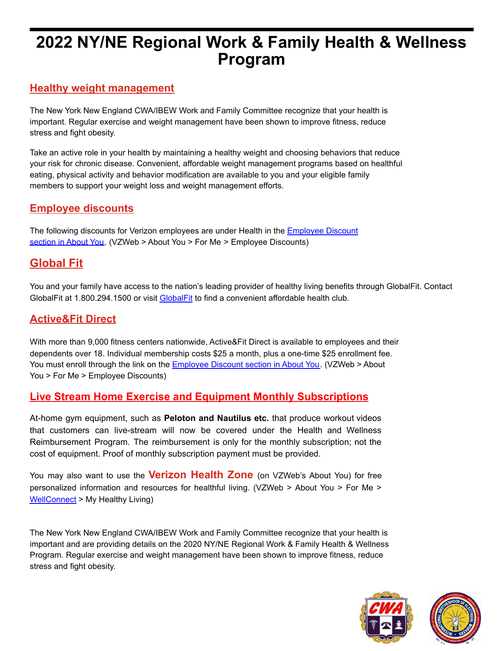# **2022 NY/NE Regional Work & Family Health & Wellness Program**

#### **Healthy weight management**

The New York New England CWA/IBEW Work and Family Committee recognize that your health is important. Regular exercise and weight management have been shown to improve fitness, reduce stress and fight obesity.

Take an active role in your health by maintaining a healthy weight and choosing behaviors that reduce your risk for chronic disease. Convenient, affordable weight management programs based on healthful eating, physical activity and behavior modification are available to you and your eligible family members to support your weight loss and weight management efforts.

#### **Employee discounts**

The following discounts for Verizon employees are under Health in the **Employee Discount** section in About You. (VZWeb > About You > For Me > Employee Discounts)

## **Global Fit**

You and your family have access to the nation's leading provider of healthy living benefits through GlobalFit. Contact GlobalFit at 1.800.294.1500 or visit GlobalFit to find a convenient affordable health club.

#### **Active&Fit Direct**

With more than 9,000 fitness centers nationwide, Active&Fit Direct is available to employees and their dependents over 18. Individual membership costs \$25 a month, plus a one-time \$25 enrollment fee. You must enroll through the link on the Employee Discount section in About You. (VZWeb > About You > For Me > Employee Discounts)

### **Live Stream Home Exercise and Equipment Monthly Subscriptions**

At-home gym equipment, such as **Peloton and Nautilus etc.** that produce workout videos that customers can live-stream will now be covered under the Health and Wellness Reimbursement Program. The reimbursement is only for the monthly subscription; not the cost of equipment. Proof of monthly subscription payment must be provided.

You may also want to use the **Verizon Health Zone** (on VZWeb's About You) for free personalized information and resources for healthful living. (VZWeb > About You > For Me > WellConnect > My Healthy Living)

The New York New England CWA/IBEW Work and Family Committee recognize that your health is important and are providing details on the 2020 NY/NE Regional Work & Family Health & Wellness Program. Regular exercise and weight management have been shown to improve fitness, reduce stress and fight obesity.

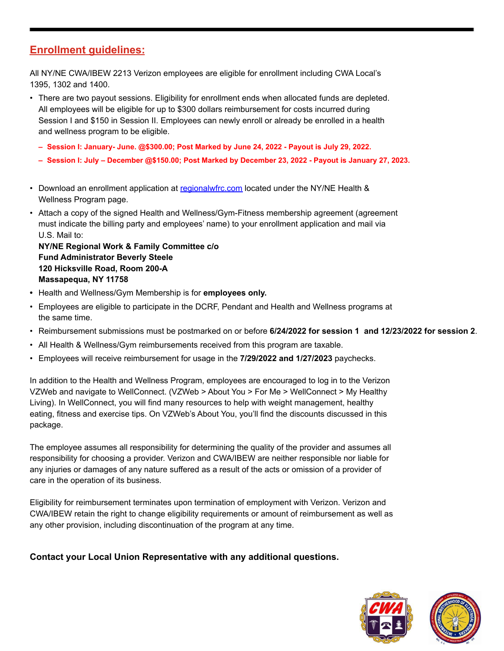#### **Enrollment guidelines:**

All NY/NE CWA/IBEW 2213 Verizon employees are eligible for enrollment including CWA Local's 1395, 1302 and 1400.

- There are two payout sessions. Eligibility for enrollment ends when allocated funds are depleted. All employees will be eligible for up to \$300 dollars reimbursement for costs incurred during Session I and \$150 in Session II. Employees can newly enroll or already be enrolled in a health and wellness program to be eligible.
	- **– Session I: January- June. @\$300.00; Post Marked by June 24, 2022 Payout is July 29, 2022.**
	- **– Session I: July December @\$150.00; Post Marked by December 23, 2022 Payout is January 27, 2023.**
- Download an enrollment application at regionalwfrc.com located under the NY/NE Health & Wellness Program page.
- Attach a copy of the signed Health and Wellness/Gym-Fitness membership agreement (agreement must indicate the billing party and employees' name) to your enrollment application and mail via U.S. Mail to:

**NY/NE Regional Work & Family Committee c/o Fund Administrator Beverly Steele 120 Hicksville Road, Room 200-A Massapequa, NY 11758**

- **•** Health and Wellness/Gym Membership is for **employees only.**
- Employees are eligible to participate in the DCRF, Pendant and Health and Wellness programs at the same time.
- Reimbursement submissions must be postmarked on or before **6/24/2022 for session 1 and 12/23/2022 for session 2**.
- All Health & Wellness/Gym reimbursements received from this program are taxable.
- Employees will receive reimbursement for usage in the **7/29/2022 and 1/27/2023** paychecks.

In addition to the Health and Wellness Program, employees are encouraged to log in to the Verizon VZWeb and navigate to WellConnect. (VZWeb > About You > For Me > WellConnect > My Healthy Living). In WellConnect, you will find many resources to help with weight management, healthy eating, fitness and exercise tips. On VZWeb's About You, you'll find the discounts discussed in this package.

The employee assumes all responsibility for determining the quality of the provider and assumes all responsibility for choosing a provider. Verizon and CWA/IBEW are neither responsible nor liable for any injuries or damages of any nature suffered as a result of the acts or omission of a provider of care in the operation of its business.

Eligibility for reimbursement terminates upon termination of employment with Verizon. Verizon and CWA/IBEW retain the right to change eligibility requirements or amount of reimbursement as well as any other provision, including discontinuation of the program at any time.

#### **Contact your Local Union Representative with any additional questions.**